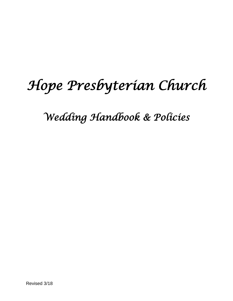# *Hope Presbyterian Church*

*Wedding Handbook & Policies*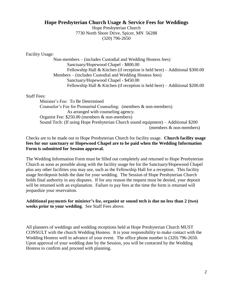#### **Hope Presbyterian Church Usage & Service Fees for Weddings**

Hope Presbyterian Church 7730 North Shore Drive, Spicer, MN 56288 (320) 796-2650

Facility Usage:

Non-members – (includes Custodial and Wedding Hostess fees) Sanctuary/Hopewood Chapel - \$800.00 Fellowship Hall  $&$  Kitchen (if reception is held here) – Additional \$300.00 Members – (includes Custodial and Wedding Hostess fees) Sanctuary/Hopewood Chapel - \$450.00 Fellowship Hall & Kitchen (if reception is held here) – Additional \$200.00

Staff Fees:

Minister's Fee: To Be Determined Counselor's Fee for Premarital Counseling: (members & non-members) As arranged with counseling agency. Organist Fee: \$250.00 (members & non-members) Sound Tech: (If using Hope Presbyterian Church sound equipment) – Additional \$200 (members & non-members)

Checks are to be made out to Hope Presbyterian Church for facility usage. **Church facility usage fees for our sanctuary or Hopewood Chapel are to be paid when the Wedding Information Form is submitted for Session approval.**

The Wedding Information Form must be filled out completely and returned to Hope Presbyterian Church as soon as possible along with the facility usage fee for the Sanctuary/Hopewood Chapel plus any other facilities you may use, such as the Fellowship Hall for a reception. This facility usage fee/deposit holds the date for your wedding. The Session of Hope Presbyterian Church holds final authority in any disputes. If for any reason the request must be denied, your deposit will be returned with an explanation. Failure to pay fees at the time the form is returned will jeopardize your reservation.

**Additional payments for minister's fee, organist or sound tech is due no less than 2 (two) weeks prior to your wedding**. See Staff Fees above.

All planners of weddings and wedding receptions held at Hope Presbyterian Church MUST CONSULT with the church Wedding Hostess. It is your responsibility to make contact with the Wedding Hostess well in advance of your event. The office phone number is (320) 796-2650. Upon approval of your wedding date by the Session, you will be contacted by the Wedding Hostess to confirm and proceed with planning.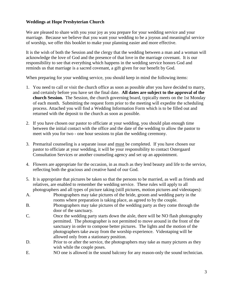#### **Weddings at Hope Presbyterian Church**

We are pleased to share with you your joy as you prepare for your wedding service and your marriage. Because we believe that you want your wedding to be a joyous and meaningful service of worship, we offer this booklet to make your planning easier and more effective.

It is the wish of both the Session and the clergy that the wedding between a man and a woman will acknowledge the love of God and the presence of that love in the marriage covenant. It is our responsibility to see that everything which happens in the wedding service honors God and reminds us that marriage is a sacred covenant, a gift given for our benefit by God.

When preparing for your wedding service, you should keep in mind the following items:

- 1. You need to call or visit the church office as soon as possible after you have decided to marry, and certainly before you have set the final date. **All dates are subject to the approval of the church Session.** The Session, the church governing board, typically meets on the 1st Monday of each month. Submitting the request form prior to the meeting will expedite the scheduling process. Attached you will find a Wedding Information Form which is to be filled out and returned with the deposit to the church as soon as possible.
- 2. If you have chosen our pastor to officiate at your wedding, you should plan enough time between the initial contact with the office and the date of the wedding to allow the pastor to meet with you for two - one hour sessions to plan the wedding ceremony.
- 3. Premarital counseling is a separate issue and must be completed. If you have chosen our pastor to officiate at your wedding, it will be your responsibility to contact Ostergaard Consultation Services or another counseling agency and set up an appointment.
- 4. Flowers are appropriate for the occasion, in as much as they lend beauty and life to the service, reflecting both the gracious and creative hand of our God.
- 5. It is appropriate that pictures be taken so that the persons to be married, as well as friends and relatives, are enabled to remember the wedding service. These rules will apply to all photographers and all types of picture taking (still pictures, motion pictures and videotapes):
- A. Photographers may take pictures of the bride, groom and wedding party in the rooms where preparation is taking place, as agreed to by the couple.
- B. Photographers may take pictures of the wedding party as they come through the door of the sanctuary.
- C. Once the wedding party starts down the aisle, there will be NO flash photography permitted. The photographer is not permitted to move around in the front of the sanctuary in order to compose better pictures. The lights and the motion of the photographers take away from the worship experience. Videotaping will be allowed only from a stationary position.
- D. Prior to or after the service, the photographers may take as many pictures as they wish while the couple poses.
- E. NO one is allowed in the sound balcony for any reason-only the sound technician.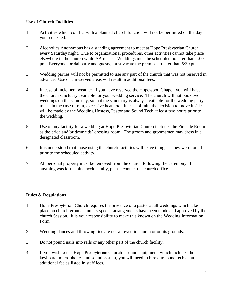#### **Use of Church Facilities**

- 1. Activities which conflict with a planned church function will not be permitted on the day you requested.
- 2. Alcoholics Anonymous has a standing agreement to meet at Hope Presbyterian Church every Saturday night. Due to organizational procedures, other activities cannot take place elsewhere in the church while AA meets. Weddings must be scheduled no later than 4:00 pm. Everyone, bridal party and guests, must vacate the premise no later than 5:30 pm.
- 3. Wedding parties will not be permitted to use any part of the church that was not reserved in advance. Use of unreserved areas will result in additional fees.
- 4. In case of inclement weather, if you have reserved the Hopewood Chapel, you will have the church sanctuary available for your wedding service. The church will not book two weddings on the same day, so that the sanctuary is always available for the wedding party to use in the case of rain, excessive heat, etc. In case of rain, the decision to move inside will be made by the Wedding Hostess, Pastor and Sound Tech at least two hours prior to the wedding.
- 5. Use of any facility for a wedding at Hope Presbyterian Church includes the Fireside Room as the bride and bridesmaids' dressing room. The groom and groomsmen may dress in a designated classroom.
- 6. It is understood that those using the church facilities will leave things as they were found prior to the scheduled activity.
- 7. All personal property must be removed from the church following the ceremony. If anything was left behind accidentally, please contact the church office.

#### **Rules & Regulations**

- 1. Hope Presbyterian Church requires the presence of a pastor at all weddings which take place on church grounds, unless special arrangements have been made and approved by the church Session. It is your responsibility to make this known on the Wedding Information Form.
- 2. Wedding dances and throwing rice are not allowed in church or on its grounds.
- 3. Do not pound nails into rails or any other part of the church facility.
- 4. If you wish to use Hope Presbyterian Church's sound equipment, which includes the keyboard, microphones and sound system, you will need to hire our sound tech at an additional fee as listed in staff fees.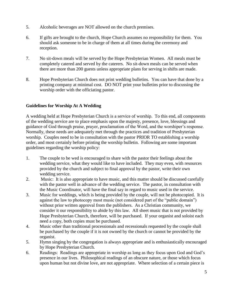- 5. Alcoholic beverages are NOT allowed on the church premises.
- 6. If gifts are brought to the church, Hope Church assumes no responsibility for them. You should ask someone to be in charge of them at all times during the ceremony and reception.
- 7. No sit-down meals will be served by the Hope Presbyterian Women. All meals must be completely catered and served by the caterers. No sit-down meals can be served when there are more than 200 guests unless appropriate plans for serving in shifts are made.
- 8. Hope Presbyterian Church does not print wedding bulletins. You can have that done by a printing company at minimal cost. DO NOT print your bulletins prior to discussing the worship order with the officiating pastor.

### **Guidelines for Worship At A Wedding**

A wedding held at Hope Presbyterian Church is a service of worship. To this end, all components of the wedding service are to place emphasis upon the majesty, presence, love, blessings and guidance of God through praise, prayer, proclamation of the Word, and the worshiper's response. Normally, these needs are adequately met through the practices and tradition of Presbyterian worship. Couples need to be in consultation with the pastor PRIOR TO establishing a worship order, and most certainly before printing the worship bulletin. Following are some important guidelines regarding the worship policy:

- 1. The couple to be wed is encouraged to share with the pastor their feelings about the wedding service, what they would like to have included. They may even, with resources provided by the church and subject to final approval by the pastor, write their own wedding service.
- 2. Music: It is also appropriate to have music, and this matter should be discussed carefully with the pastor well in advance of the wedding service. The pastor, in consultation with the Music Coordinator, will have the final say in regard to music used in the service.
- 3. Music for weddings, which is being provided by the couple, will not be photocopied. It is against the law to photocopy most music (not considered part of the "public domain") without prior written approval from the publishers. As a Christian community, we consider it our responsibility to abide by this law. All sheet music that is not provided by Hope Presbyterian Church, therefore, will be purchased. If your organist and soloist each need a copy, both copies must be purchased.
- 4. Music other than traditional processionals and recessionals requested by the couple shall be purchased by the couple if it is not owned by the church or cannot be provided by the organist.
- 5. Hymn singing by the congregation is always appropriate and is enthusiastically encouraged by Hope Presbyterian Church.
- 6. Readings: Readings are appropriate in worship as long as they focus upon God and God's presence in our lives. Philosophical readings of an obscure nature, or those which focus upon human but not divine love, are not appropriate. Where selection of a certain piece is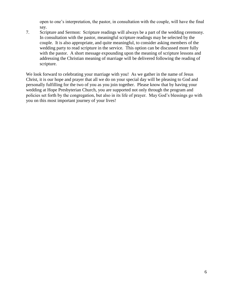open to one's interpretation, the pastor, in consultation with the couple, will have the final say.

7. Scripture and Sermon: Scripture readings will always be a part of the wedding ceremony. In consultation with the pastor, meaningful scripture readings may be selected by the couple. It is also appropriate, and quite meaningful, to consider asking members of the wedding party to read scripture in the service. This option can be discussed more fully with the pastor. A short message expounding upon the meaning of scripture lessons and addressing the Christian meaning of marriage will be delivered following the reading of scripture.

We look forward to celebrating your marriage with you! As we gather in the name of Jesus Christ, it is our hope and prayer that all we do on your special day will be pleasing to God and personally fulfilling for the two of you as you join together. Please know that by having your wedding at Hope Presbyterian Church, you are supported not only through the program and policies set forth by the congregation, but also in its life of prayer. May God's blessings go with you on this most important journey of your lives!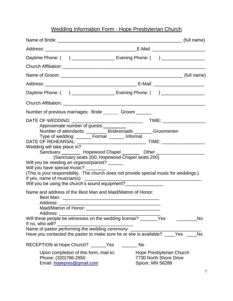## Wedding Information Form - Hope Presbyterian Church

|                                                                                                                                                                                                                                                                                                                                                                                                                                                                                                             | Daytime Phone: ( ) _______________________ Evening Phone: ( ) __________________                                                     |  |  |  |  |  |  |
|-------------------------------------------------------------------------------------------------------------------------------------------------------------------------------------------------------------------------------------------------------------------------------------------------------------------------------------------------------------------------------------------------------------------------------------------------------------------------------------------------------------|--------------------------------------------------------------------------------------------------------------------------------------|--|--|--|--|--|--|
|                                                                                                                                                                                                                                                                                                                                                                                                                                                                                                             |                                                                                                                                      |  |  |  |  |  |  |
|                                                                                                                                                                                                                                                                                                                                                                                                                                                                                                             |                                                                                                                                      |  |  |  |  |  |  |
|                                                                                                                                                                                                                                                                                                                                                                                                                                                                                                             |                                                                                                                                      |  |  |  |  |  |  |
|                                                                                                                                                                                                                                                                                                                                                                                                                                                                                                             | Daytime Phone: ( ) ______________________ Evening Phone: ( ) ___________________                                                     |  |  |  |  |  |  |
|                                                                                                                                                                                                                                                                                                                                                                                                                                                                                                             |                                                                                                                                      |  |  |  |  |  |  |
| Number of previous marriages: Bride _________ Groom _______                                                                                                                                                                                                                                                                                                                                                                                                                                                 |                                                                                                                                      |  |  |  |  |  |  |
| DATE OF WEDDING: _______<br>Approximate number of guests:<br>Number of attendants: _________ Bridesmaids _______ Groomsmen<br>Type of wedding: _______ Formal _______ Informal<br>Wedding will take place in?<br>(Sanctuary seats 200, Hopewood Chapel seats 200)<br>Will you be needing an organist/pianist? _______<br>Will you have special music? ________<br>(This is your responsibility. The church does not provide special music for weddings.)<br>Will you be using the church's sound equipment? | Sanctuary __________ Hopewood Chapel __________ Other __________________________                                                     |  |  |  |  |  |  |
| Name and address of the Best Man and Maid/Matron of Honor:<br>Address:<br>Will these people be witnesses on the wedding license? _______Yes<br>If no, who will?<br>Name of pastor performing the wedding ceremony: _______<br>Have you contacted the pastor to make sure he or she is available?<br>RECEPTION at Hope Church? _______Yes<br>Upon completion of this form, mail to:<br>Phone: (320)796-2650<br>Email: hopepres@gmail.com                                                                     | <b>No</b><br><b>Yes</b><br><b>No</b><br><b>Solution</b> No<br>Hope Presbyterian Church<br>7730 North Shore Drive<br>Spicer, MN 56288 |  |  |  |  |  |  |